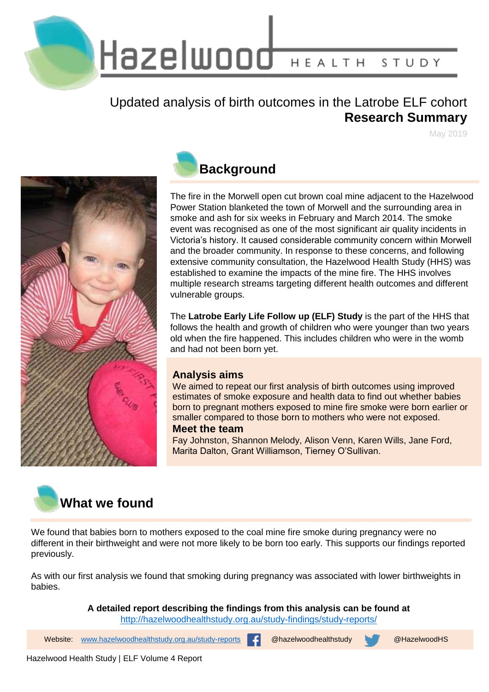

Hazelwood HEALTH STUDY

### Updated analysis of birth outcomes in the Latrobe ELF cohort **Research Summary**

May 2019



# **Background**

The fire in the Morwell open cut brown coal mine adjacent to the Hazelwood Power Station blanketed the town of Morwell and the surrounding area in smoke and ash for six weeks in February and March 2014. The smoke event was recognised as one of the most significant air quality incidents in Victoria's history. It caused considerable community concern within Morwell and the broader community. In response to these concerns, and following extensive community consultation, the Hazelwood Health Study (HHS) was established to examine the impacts of the mine fire. The HHS involves multiple research streams targeting different health outcomes and different vulnerable groups.

The **Latrobe Early Life Follow up (ELF) Study** is the part of the HHS that follows the health and growth of children who were younger than two years old when the fire happened. This includes children who were in the womb and had not been born yet.

#### **Analysis aims**

We aimed to repeat our first analysis of birth outcomes using improved estimates of smoke exposure and health data to find out whether babies born to pregnant mothers exposed to mine fire smoke were born earlier or smaller compared to those born to mothers who were not exposed.

#### **Meet the team**

Fay Johnston, Shannon Melody, Alison Venn, Karen Wills, Jane Ford, Marita Dalton, Grant Williamson, Tierney O'Sullivan.



We found that babies born to mothers exposed to the coal mine fire smoke during pregnancy were no different in their birthweight and were not more likely to be born too early. This supports our findings reported previously.

As with our first analysis we found that smoking during pregnancy was associated with lower birthweights in babies.

> **A detailed report describing the findings from this analysis can be found at**  <http://hazelwoodhealthstudy.org.au/study-findings/study-reports/>

1 Website: [www.hazelwoodhealthstudy.org.au/study-reports](http://www.hazelwoodhealthstudy.org.au/study-reports) @hazelwoodhealthstudy @HazelwoodHS